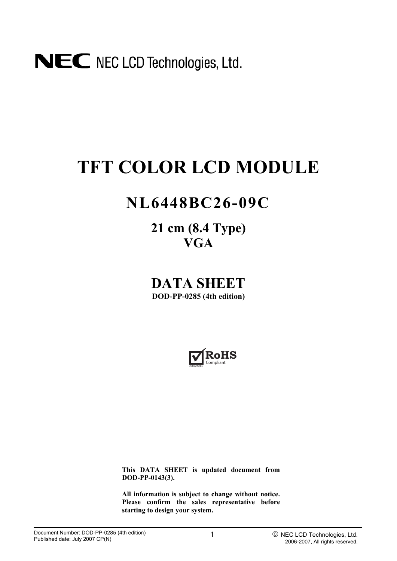# **TFT COLOR LCD MODULE**

## **NL6448BC26-09C**

**21 cm (8.4 Type) VGA**

**DATA SHEET DOD-PP-0285 (4th edition)** 



**This DATA SHEET is updated document from DOD-PP-0143(3).** 

**All information is subject to change without notice. Please confirm the sales representative before starting to design your system.**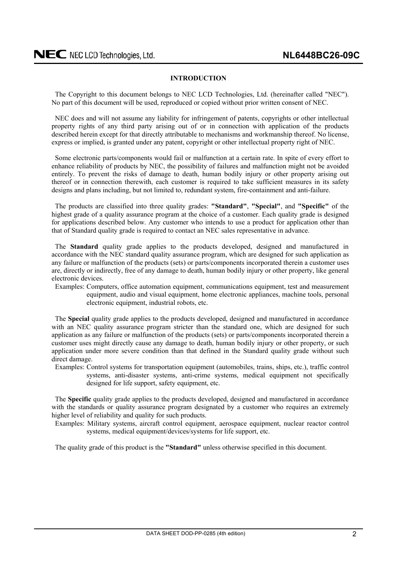#### **INTRODUCTION**

<span id="page-1-0"></span>The Copyright to this document belongs to NEC LCD Technologies, Ltd. (hereinafter called "NEC"). No part of this document will be used, reproduced or copied without prior written consent of NEC.

NEC does and will not assume any liability for infringement of patents, copyrights or other intellectual property rights of any third party arising out of or in connection with application of the products described herein except for that directly attributable to mechanisms and workmanship thereof. No license, express or implied, is granted under any patent, copyright or other intellectual property right of NEC.

Some electronic parts/components would fail or malfunction at a certain rate. In spite of every effort to enhance reliability of products by NEC, the possibility of failures and malfunction might not be avoided entirely. To prevent the risks of damage to death, human bodily injury or other property arising out thereof or in connection therewith, each customer is required to take sufficient measures in its safety designs and plans including, but not limited to, redundant system, fire-containment and anti-failure.

The products are classified into three quality grades: **"Standard"**, **"Special"**, and **"Specific"** of the highest grade of a quality assurance program at the choice of a customer. Each quality grade is designed for applications described below. Any customer who intends to use a product for application other than that of Standard quality grade is required to contact an NEC sales representative in advance.

The **Standard** quality grade applies to the products developed, designed and manufactured in accordance with the NEC standard quality assurance program, which are designed for such application as any failure or malfunction of the products (sets) or parts/components incorporated therein a customer uses are, directly or indirectly, free of any damage to death, human bodily injury or other property, like general electronic devices.

Examples: Computers, office automation equipment, communications equipment, test and measurement equipment, audio and visual equipment, home electronic appliances, machine tools, personal electronic equipment, industrial robots, etc.

The **Special** quality grade applies to the products developed, designed and manufactured in accordance with an NEC quality assurance program stricter than the standard one, which are designed for such application as any failure or malfunction of the products (sets) or parts/components incorporated therein a customer uses might directly cause any damage to death, human bodily injury or other property, or such application under more severe condition than that defined in the Standard quality grade without such direct damage.

Examples: Control systems for transportation equipment (automobiles, trains, ships, etc.), traffic control systems, anti-disaster systems, anti-crime systems, medical equipment not specifically designed for life support, safety equipment, etc.

The **Specific** quality grade applies to the products developed, designed and manufactured in accordance with the standards or quality assurance program designated by a customer who requires an extremely higher level of reliability and quality for such products.

Examples: Military systems, aircraft control equipment, aerospace equipment, nuclear reactor control systems, medical equipment/devices/systems for life support, etc.

The quality grade of this product is the **"Standard"** unless otherwise specified in this document.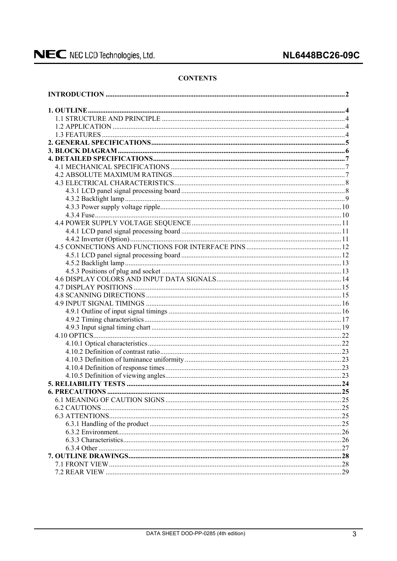#### **CONTENTS**

| .25 |
|-----|
|     |
|     |
|     |
|     |
|     |
|     |
|     |
|     |
|     |
|     |
|     |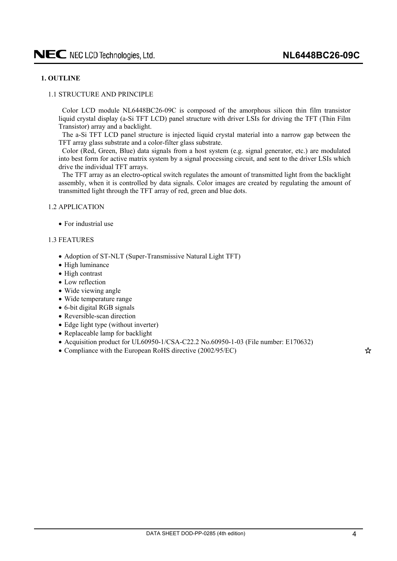#### <span id="page-3-0"></span>**1. OUTLINE**

#### 1.1 STRUCTURE AND PRINCIPLE

Color LCD module NL6448BC26-09C is composed of the amorphous silicon thin film transistor liquid crystal display (a-Si TFT LCD) panel structure with driver LSIs for driving the TFT (Thin Film Transistor) array and a backlight.

The a-Si TFT LCD panel structure is injected liquid crystal material into a narrow gap between the TFT array glass substrate and a color-filter glass substrate.

Color (Red, Green, Blue) data signals from a host system (e.g. signal generator, etc.) are modulated into best form for active matrix system by a signal processing circuit, and sent to the driver LSIs which drive the individual TFT arrays.

The TFT array as an electro-optical switch regulates the amount of transmitted light from the backlight assembly, when it is controlled by data signals. Color images are created by regulating the amount of transmitted light through the TFT array of red, green and blue dots.

#### 1.2 APPLICATION

 $\bullet$  For industrial use

#### 1.3 FEATURES

- Adoption of ST-NLT (Super-Transmissive Natural Light TFT)
- $\bullet$  High luminance
- $\bullet$  High contrast
- $\bullet$  Low reflection
- $\bullet$  Wide viewing angle
- Wide temperature range
- 6-bit digital RGB signals
- $\bullet$  Reversible-scan direction
- $\bullet$  Edge light type (without inverter)
- $\bullet$  Replaceable lamp for backlight
- Acquisition product for UL60950-1/CSA-C22.2 No.60950-1-03 (File number: E170632)
- Compliance with the European RoHS directive  $(2002/95/EC)$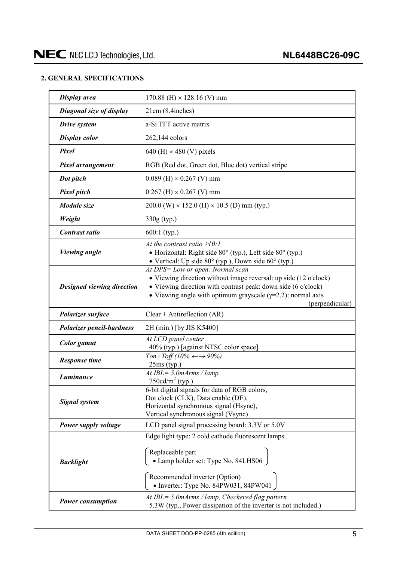#### <span id="page-4-0"></span>**2. GENERAL SPECIFICATIONS**

| Display area                      | 170.88 (H) $\times$ 128.16 (V) mm                                                                                                                                                                                                                               |
|-----------------------------------|-----------------------------------------------------------------------------------------------------------------------------------------------------------------------------------------------------------------------------------------------------------------|
| Diagonal size of display          | 21cm (8.4inches)                                                                                                                                                                                                                                                |
| Drive system                      | a-Si TFT active matrix                                                                                                                                                                                                                                          |
| <b>Display color</b>              | 262,144 colors                                                                                                                                                                                                                                                  |
| Pixel                             | 640 (H) $\times$ 480 (V) pixels                                                                                                                                                                                                                                 |
| Pixel arrangement                 | RGB (Red dot, Green dot, Blue dot) vertical stripe                                                                                                                                                                                                              |
| Dot pitch                         | $0.089$ (H) $\times$ 0.267 (V) mm                                                                                                                                                                                                                               |
| <b>Pixel pitch</b>                | $0.267$ (H) $\times$ 0.267 (V) mm                                                                                                                                                                                                                               |
| Module size                       | $200.0$ (W) $\times$ 152.0 (H) $\times$ 10.5 (D) mm (typ.)                                                                                                                                                                                                      |
| Weight                            | 330g (typ.)                                                                                                                                                                                                                                                     |
| Contrast ratio                    | $600:1$ (typ.)                                                                                                                                                                                                                                                  |
| <b>Viewing angle</b>              | At the contrast ratio $\geq 10$ :<br>• Horizontal: Right side 80° (typ.), Left side 80° (typ.)<br>• Vertical: Up side $80^{\circ}$ (typ.), Down side $60^{\circ}$ (typ.)                                                                                        |
| <b>Designed viewing direction</b> | At DPS= Low or open: Normal scan<br>• Viewing direction without image reversal: up side (12 o'clock)<br>• Viewing direction with contrast peak: down side (6 o'clock)<br>• Viewing angle with optimum grayscale $(\gamma=2.2)$ : normal axis<br>(perpendicular) |
| Polarizer surface                 | Clear + Antireflection $(AR)$                                                                                                                                                                                                                                   |
| <b>Polarizer pencil-hardness</b>  | 2H (min.) [by JIS K5400]                                                                                                                                                                                                                                        |
| <b>Color</b> gamut                | At LCD panel center<br>40% (typ.) [against NTSC color space]                                                                                                                                                                                                    |
| <b>Response time</b>              | Ton+Toff (10% $\leftarrow \rightarrow 90\%$ )<br>$25ms$ (typ.)                                                                                                                                                                                                  |
| Luminance                         | At $IBL = 5.0$ m $Arms / lamp$<br>750 $cd/m^2$ (typ.)                                                                                                                                                                                                           |
|                                   |                                                                                                                                                                                                                                                                 |
| <b>Signal system</b>              | 6-bit digital signals for data of RGB colors,<br>Dot clock (CLK), Data enable (DE),<br>Horizontal synchronous signal (Hsync),<br>Vertical synchronous signal (Vsync)                                                                                            |
| Power supply voltage              | LCD panel signal processing board: 3.3V or 5.0V                                                                                                                                                                                                                 |
| <b>Backlight</b>                  | Edge light type: 2 cold cathode fluorescent lamps<br>Replaceable part<br>• Lamp holder set: Type No. 84LHS06<br>Recommended inverter (Option)<br>• Inverter: Type No. 84PW031, 84PW041                                                                          |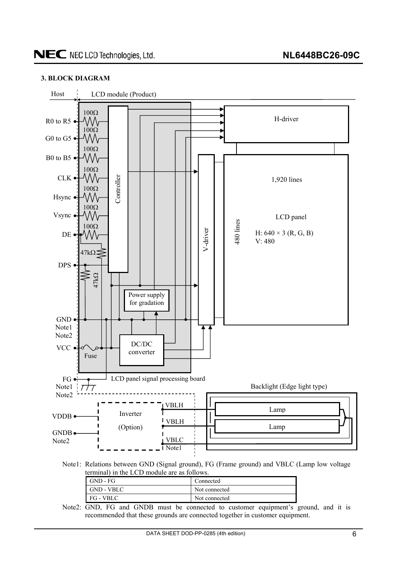#### <span id="page-5-0"></span>**3. BLOCK DIAGRAM**



Note2: GND, FG and GNDB must be connected to customer equipment's ground, and it is recommended that these grounds are connected together in customer equipment.

FG - VBLC Not connected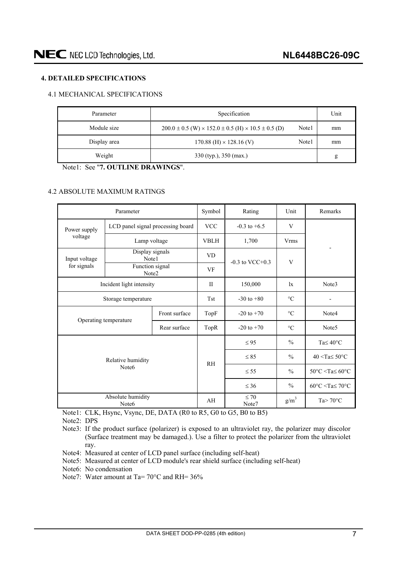#### <span id="page-6-0"></span>**4. DETAILED SPECIFICATIONS**

#### 4.1 MECHANICAL SPECIFICATIONS

| Parameter    | Specification                                                                |       | Unit |
|--------------|------------------------------------------------------------------------------|-------|------|
| Module size  | $200.0 \pm 0.5$ (W) $\times$ 152.0 $\pm$ 0.5 (H) $\times$ 10.5 $\pm$ 0.5 (D) | Note1 | mm   |
| Display area | $170.88$ (H) $\times$ 128.16 (V)                                             | Note1 | mm   |
| Weight       | $330$ (typ.), $350$ (max.)                                                   |       | g    |

Note1: See "**7. OUTLINE DRAWINGS**".

#### 4.2 ABSOLUTE MAXIMUM RATINGS

|                   | Parameter                              |               | Symbol         | Rating               | Unit             | Remarks                                            |
|-------------------|----------------------------------------|---------------|----------------|----------------------|------------------|----------------------------------------------------|
| Power supply      | LCD panel signal processing board      |               | <b>VCC</b>     | $-0.3$ to $+6.5$     | V                |                                                    |
| voltage           | Lamp voltage                           |               | <b>VBLH</b>    | 1,700                | <b>Vrms</b>      |                                                    |
| Input voltage     | Display signals<br>Note1               |               | <b>VD</b>      |                      |                  |                                                    |
| for signals       | Function signal<br>Note2               |               | VF             | $-0.3$ to VCC $+0.3$ | V                |                                                    |
|                   | Incident light intensity               |               | $_{\rm II}$    | 150,000              | $\mathbf{1}$     | Note3                                              |
|                   | Storage temperature                    | <b>Tst</b>    | $-30$ to $+80$ | $\circ$ C            |                  |                                                    |
|                   |                                        | Front surface | TopF           | $-20$ to $+70$       | $\circ$ C        | Note4                                              |
|                   | Operating temperature                  | Rear surface  | TopR           | $-20$ to $+70$       | $\circ$ C        | Note <sub>5</sub>                                  |
|                   |                                        |               |                | $\leq 95$            | $\frac{0}{0}$    | Ta $\leq 40^{\circ}$ C                             |
|                   | Relative humidity                      |               | R <sub>H</sub> | $\leq 85$            | $\frac{0}{0}$    | $40 <$ Ta $\leq 50$ °C                             |
| Note <sub>6</sub> |                                        |               |                | $\leq$ 55            | $\frac{0}{0}$    | $50^{\circ}$ C <ta<math>\leq 60^{\circ}C</ta<math> |
|                   |                                        |               |                | $\leq 36$            | $\frac{0}{0}$    | $60^{\circ}$ C <ta<math>\leq 70^{\circ}C</ta<math> |
|                   | Absolute humidity<br>Note <sub>6</sub> |               | AH             | $\leq 70$<br>Note7   | g/m <sup>3</sup> | $Ta > 70^{\circ}C$                                 |

Note1: CLK, Hsync, Vsync, DE, DATA (R0 to R5, G0 to G5, B0 to B5)

Note2: DPS

- Note3: If the product surface (polarizer) is exposed to an ultraviolet ray, the polarizer may discolor (Surface treatment may be damaged.). Use a filter to protect the polarizer from the ultraviolet ray.
- Note4: Measured at center of LCD panel surface (including self-heat)
- Note5: Measured at center of LCD module's rear shield surface (including self-heat)
- Note6: No condensation
- Note7: Water amount at Ta= 70 °C and RH=  $36\%$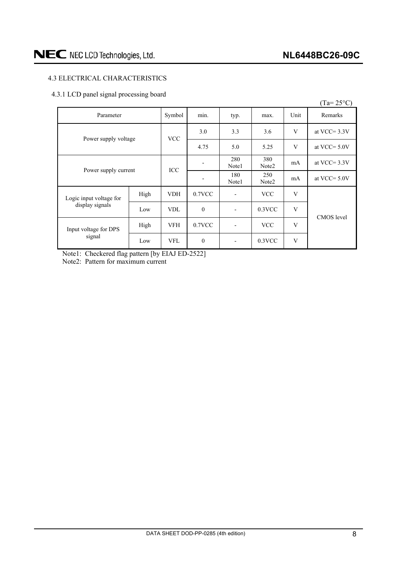#### <span id="page-7-0"></span>4.3 ELECTRICAL CHARACTERISTICS

#### 4.3.1 LCD panel signal processing board

|                         |      |            |                  |                          |                          |                 | $(Ta=25^{\circ}C)$ |
|-------------------------|------|------------|------------------|--------------------------|--------------------------|-----------------|--------------------|
| Parameter               |      | Symbol     | min.             | typ.                     | max.                     | Unit            | Remarks            |
| Power supply voltage    |      | <b>VCC</b> | 3.0              | 3.3                      | 3.6                      | V               | at VCC= $3.3V$     |
|                         |      |            | 4.75             | 5.0                      | 5.25                     | V               | at VCC $=$ 5.0V    |
|                         |      |            | 280<br>Note1     | 380<br>Note <sub>2</sub> | mA                       | at VCC $=$ 3.3V |                    |
| Power supply current    |      | ICC        |                  | 180<br>Note1             | 250<br>Note <sub>2</sub> | mA              | at VCC $=$ 5.0V    |
| Logic input voltage for | High | <b>VDH</b> | $0.7$ VCC        | $\overline{\phantom{a}}$ | <b>VCC</b>               | V               |                    |
| display signals         | Low  | <b>VDL</b> | $\boldsymbol{0}$ | $\overline{\phantom{a}}$ | $0.3$ VCC                | V               | CMOS level         |
| Input voltage for DPS   | High | <b>VFH</b> | 0.7VCC           | $\overline{\phantom{a}}$ | <b>VCC</b>               | V               |                    |
| signal                  | Low  | <b>VFL</b> | $\mathbf{0}$     | $\overline{\phantom{a}}$ | $0.3$ VCC                | V               |                    |

Note1: Checkered flag pattern [by EIAJ ED-2522] Note2: Pattern for maximum current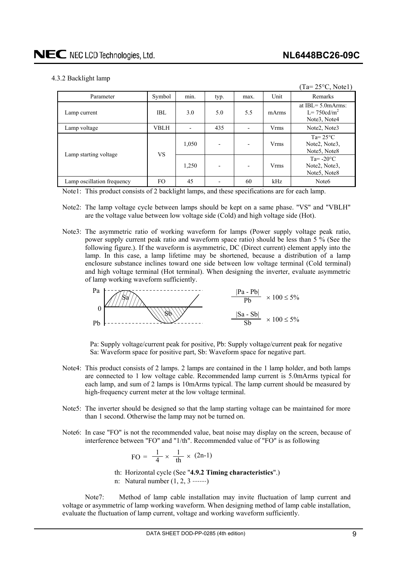<span id="page-8-0"></span>4.3.2 Backlight lamp

|                            |             |                |                          |      |             | $(Ta=25\text{°C}, Note1)$                                                             |
|----------------------------|-------------|----------------|--------------------------|------|-------------|---------------------------------------------------------------------------------------|
| Parameter                  | Symbol      | $\sim$<br>min. | typ.                     | max. | Unit        | Remarks                                                                               |
| Lamp current               | IBL         | 3.0            | 5.0                      | 5.5  | mArms       | at $IBI = 5.0$ m $Arms$ :<br>$L = 750cd/m^2$<br>Note <sub>3</sub> , Note <sub>4</sub> |
| Lamp voltage               | <b>VBLH</b> |                | 435                      |      | <b>Vrms</b> | Note <sub>2</sub> , Note <sub>3</sub>                                                 |
|                            | <b>VS</b>   | 1,050          | $\overline{\phantom{0}}$ |      | <b>Vrms</b> | Ta= $25^{\circ}$ C<br>Note2, Note3,<br>Note <sub>5</sub> , Note <sub>8</sub>          |
| Lamp starting voltage      |             | 1,250          | $\overline{\phantom{0}}$ |      | <b>Vrms</b> | Ta= $-20^{\circ}$ C<br>Note2, Note3,<br>Note5, Note8                                  |
| Lamp oscillation frequency | FO.         | 45             |                          | 60   | kHz         | Note <sub>6</sub>                                                                     |

Note1: This product consists of 2 backlight lamps, and these specifications are for each lamp.

- Note2: The lamp voltage cycle between lamps should be kept on a same phase. "VS" and "VBLH" are the voltage value between low voltage side (Cold) and high voltage side (Hot).
- Note3: The asymmetric ratio of working waveform for lamps (Power supply voltage peak ratio, power supply current peak ratio and waveform space ratio) should be less than 5 % (See the following figure.). If the waveform is asymmetric, DC (Direct current) element apply into the lamp. In this case, a lamp lifetime may be shortened, because a distribution of a lamp enclosure substance inclines toward one side between low voltage terminal (Cold terminal) and high voltage terminal (Hot terminal). When designing the inverter, evaluate asymmetric of lamp working waveform sufficiently.



Pa: Supply voltage/current peak for positive, Pb: Supply voltage/current peak for negative Sa: Waveform space for positive part, Sb: Waveform space for negative part.

- Note4: This product consists of 2 lamps. 2 lamps are contained in the 1 lamp holder, and both lamps are connected to 1 low voltage cable. Recommended lamp current is 5.0mArms typical for each lamp, and sum of 2 lamps is 10mArms typical. The lamp current should be measured by high-frequency current meter at the low voltage terminal.
- Note5: The inverter should be designed so that the lamp starting voltage can be maintained for more than 1 second. Otherwise the lamp may not be turned on.
- Note6: In case "FO" is not the recommended value, beat noise may display on the screen, because of interference between "FO" and "1/th". Recommended value of "FO" is as following

$$
FO = \frac{1}{4} \times \frac{1}{th} \times (2n-1)
$$

th: Horizontal cycle (See "**4.9.2 Timing characteristics**".)

n: Natural number  $(1, 2, 3 \dots)$ 

Note7: Method of lamp cable installation may invite fluctuation of lamp current and voltage or asymmetric of lamp working waveform. When designing method of lamp cable installation, evaluate the fluctuation of lamp current, voltage and working waveform sufficiently.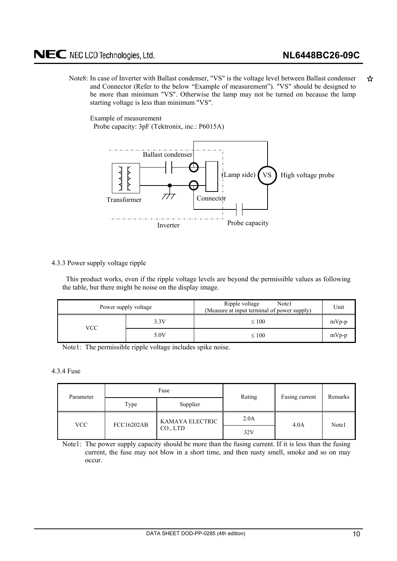<span id="page-9-0"></span>Note8: In case of Inverter with Ballast condenser, "VS" is the voltage level between Ballast condenser ☆ and Connector (Refer to the below "Example of measurement"). "VS" should be designed to be more than minimum "VS". Otherwise the lamp may not be turned on because the lamp starting voltage is less than minimum "VS".

Example of measurement Probe capacity: 3pF (Tektronix, inc.: P6015A)



#### 4.3.3 Power supply voltage ripple

This product works, even if the ripple voltage levels are beyond the permissible values as following the table, but there might be noise on the display image.

|     | Power supply voltage | Ripple voltage<br>Note1<br>(Measure at input terminal of power supply) | Unit    |
|-----|----------------------|------------------------------------------------------------------------|---------|
| VCC | 3.3V                 | $\leq 100$                                                             | $mVp-p$ |
|     | 5.0V                 | $\leq 100$                                                             | $mVp-p$ |

Note1: The permissible ripple voltage includes spike noise.

#### 4.3.4 Fuse

| Parameter                |  | Fuse                  | Rating | Fusing current | Remarks |  |
|--------------------------|--|-----------------------|--------|----------------|---------|--|
| Supplier<br>Type         |  |                       |        |                |         |  |
| FCC16202AB<br><b>VCC</b> |  | KAMAYA ELECTRIC       | 2.0A   | 4.0A           | Note1   |  |
|                          |  | CO <sub>1</sub> , LTD | 32V    |                |         |  |

Note1: The power supply capacity should be more than the fusing current. If it is less than the fusing current, the fuse may not blow in a short time, and then nasty smell, smoke and so on may occur.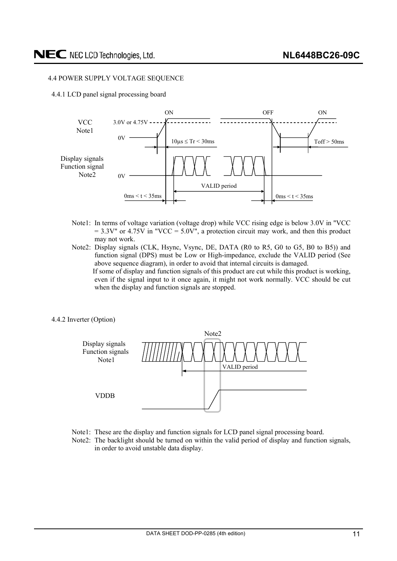#### <span id="page-10-0"></span>4.4 POWER SUPPLY VOLTAGE SEQUENCE

4.4.1 LCD panel signal processing board



- Note1: In terms of voltage variation (voltage drop) while VCC rising edge is below 3.0V in "VCC  $= 3.3V''$  or 4.75V in "VCC = 5.0V", a protection circuit may work, and then this product may not work.
- Note2: Display signals (CLK, Hsync, Vsync, DE, DATA (R0 to R5, G0 to G5, B0 to B5)) and function signal (DPS) must be Low or High-impedance, exclude the VALID period (See above sequence diagram), in order to avoid that internal circuits is damaged. If some of display and function signals of this product are cut while this product is working, even if the signal input to it once again, it might not work normally. VCC should be cut when the display and function signals are stopped.
- 4.4.2 Inverter (Option)



- Note1: These are the display and function signals for LCD panel signal processing board.
- Note2: The backlight should be turned on within the valid period of display and function signals, in order to avoid unstable data display.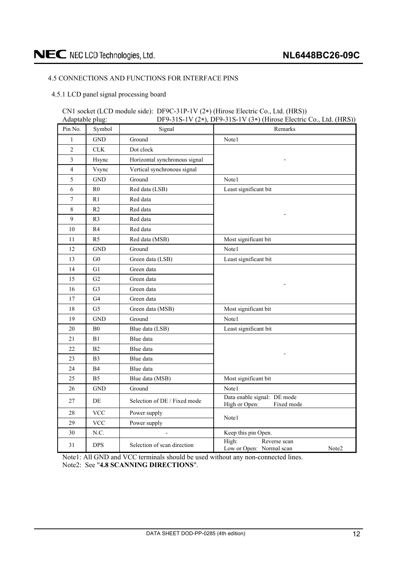#### <span id="page-11-0"></span>4.5 CONNECTIONS AND FUNCTIONS FOR INTERFACE PINS

4.5.1 LCD panel signal processing board

#### CN1 socket (LCD module side): DF9C-31P-1V (2 ) (Hirose Electric Co., Ltd. (HRS)) DF9-31S-1V  $(2*)$  DF9-31S-1V  $(3*)$  (Hirose Electric Co., Ltd. (HRS)).

| Auapiavic piug.<br>Pin No. | Symbol         | Signal                        | Dr $7$ -915-1 v (2+), Dr $7$ -915-1 v (9+) (11110sc Electric Co., Eta. (11189))<br>Remarks |
|----------------------------|----------------|-------------------------------|--------------------------------------------------------------------------------------------|
| $\mathbf{1}$               | <b>GND</b>     | Ground                        | Note1                                                                                      |
| $\overline{c}$             | CLK            | Dot clock                     |                                                                                            |
| 3                          | Hsync          | Horizontal synchronous signal |                                                                                            |
| $\overline{4}$             | Vsync          | Vertical synchronous signal   |                                                                                            |
| 5                          | <b>GND</b>     | Ground                        | Note1                                                                                      |
| 6                          | R <sub>0</sub> | Red data (LSB)                | Least significant bit                                                                      |
| $\overline{7}$             | R1             | Red data                      |                                                                                            |
| 8                          | R2             | Red data                      |                                                                                            |
| 9                          | R <sub>3</sub> | Red data                      |                                                                                            |
| 10                         | R4             | Red data                      |                                                                                            |
| 11                         | R <sub>5</sub> | Red data (MSB)                | Most significant bit                                                                       |
| 12                         | <b>GND</b>     | Ground                        | Note1                                                                                      |
| 13                         | G <sub>0</sub> | Green data (LSB)              | Least significant bit                                                                      |
| 14                         | G1             | Green data                    |                                                                                            |
| 15                         | G2             | Green data                    |                                                                                            |
| 16                         | G <sub>3</sub> | Green data                    |                                                                                            |
| $17\,$                     | G4             | Green data                    |                                                                                            |
| $18\,$                     | G <sub>5</sub> | Green data (MSB)              | Most significant bit                                                                       |
| 19                         | <b>GND</b>     | Ground                        | Note1                                                                                      |
| 20                         | ${\bf B0}$     | Blue data (LSB)               | Least significant bit                                                                      |
| 21                         | B1             | Blue data                     |                                                                                            |
| 22                         | B2             | Blue data                     |                                                                                            |
| 23                         | B <sub>3</sub> | Blue data                     |                                                                                            |
| 24                         | <b>B4</b>      | Blue data                     |                                                                                            |
| 25                         | B <sub>5</sub> | Blue data (MSB)               | Most significant bit                                                                       |
| 26                         | <b>GND</b>     | Ground                        | Note1                                                                                      |
| 27                         | DE             | Selection of DE / Fixed mode  | Data enable signal: DE mode<br>High or Open:<br>Fixed mode                                 |
| 28                         | <b>VCC</b>     | Power supply                  | Note1                                                                                      |
| 29                         | <b>VCC</b>     | Power supply                  |                                                                                            |
| 30                         | N.C.           | $\overline{\phantom{a}}$      | Keep this pin Open.                                                                        |
| 31                         | <b>DPS</b>     | Selection of scan direction   | High:<br>Reverse scan<br>Low or Open: Normal scan<br>Note2                                 |

Note1: All GND and VCC terminals should be used without any non-connected lines. Note2: See "**4.8 SCANNING DIRECTIONS**".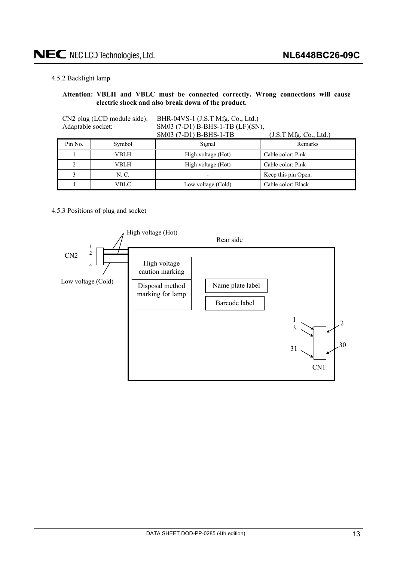#### <span id="page-12-0"></span>4.5.2 Backlight lamp

#### **Attention: VBLH and VBLC must be connected correctly. Wrong connections will cause electric shock and also break down of the product.**

| Adaptable socket: | CN2 plug (LCD module side): | BHR-04VS-1 (J.S.T Mfg. Co., Ltd.)<br>SM03 (7-D1) B-BHS-1-TB (LF)(SN), |                     |  |  |  |  |
|-------------------|-----------------------------|-----------------------------------------------------------------------|---------------------|--|--|--|--|
|                   |                             | SM03 (7-D1) B-BHS-1-TB<br>(J.S.T Mfg. Co., Ltd.)                      |                     |  |  |  |  |
| Pin No.           | Symbol                      | Signal                                                                | Remarks             |  |  |  |  |
|                   | VBLH                        | High voltage (Hot)                                                    | Cable color: Pink   |  |  |  |  |
|                   | VBLH                        | High voltage (Hot)                                                    | Cable color: Pink   |  |  |  |  |
|                   | N. C.                       |                                                                       | Keep this pin Open. |  |  |  |  |
| VBLC              |                             | Low voltage (Cold)                                                    | Cable color: Black  |  |  |  |  |

#### 4.5.3 Positions of plug and socket

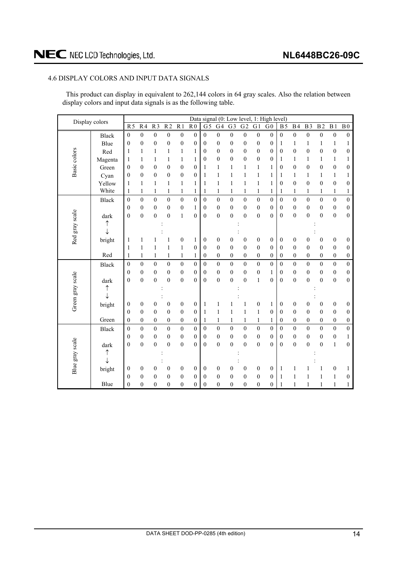#### <span id="page-13-0"></span>4.6 DISPLAY COLORS AND INPUT DATA SIGNALS

This product can display in equivalent to 262,144 colors in 64 gray scales. Also the relation between display colors and input data signals is as the following table.

| Display colors   |              | Data signal (0: Low level, 1: High level) |                  |                  |                  |                  |                  |                  |                  |                  |                  |                  |                  |                  |                  |                  |                  |                  |                  |
|------------------|--------------|-------------------------------------------|------------------|------------------|------------------|------------------|------------------|------------------|------------------|------------------|------------------|------------------|------------------|------------------|------------------|------------------|------------------|------------------|------------------|
|                  |              | $\overline{R5}$                           | R <sub>4</sub>   | $\overline{R3}$  | R <sub>2</sub>   | $\overline{R1}$  | R <sub>0</sub>   | $\overline{G}$   | G4               | G <sub>3</sub>   | G <sub>2</sub>   | G1               | G <sub>0</sub>   | <b>B5</b>        | <b>B4</b>        | B <sub>3</sub>   | $\overline{B2}$  | B <sub>1</sub>   | B <sub>0</sub>   |
|                  | Black        | $\boldsymbol{0}$                          | $\boldsymbol{0}$ | $\boldsymbol{0}$ | $\boldsymbol{0}$ | $\boldsymbol{0}$ | $\boldsymbol{0}$ | $\boldsymbol{0}$ | $\boldsymbol{0}$ | $\boldsymbol{0}$ | $\boldsymbol{0}$ | $\boldsymbol{0}$ | $\boldsymbol{0}$ | $\boldsymbol{0}$ | $\boldsymbol{0}$ | $\boldsymbol{0}$ | $\boldsymbol{0}$ | $\boldsymbol{0}$ | $\boldsymbol{0}$ |
|                  | Blue         | $\overline{0}$                            | $\theta$         | $\boldsymbol{0}$ | $\boldsymbol{0}$ | $\mathbf{0}$     | $\mathbf{0}$     | $\mathbf{0}$     | $\boldsymbol{0}$ | $\boldsymbol{0}$ | $\overline{0}$   | $\boldsymbol{0}$ | $\boldsymbol{0}$ | 1                | 1                | $\mathbf{1}$     | $\mathbf{1}$     | 1                | 1                |
|                  | Red          | $\mathbf{1}$                              | 1                | 1                | 1                | 1                | 1                | $\boldsymbol{0}$ | $\boldsymbol{0}$ | $\boldsymbol{0}$ | $\boldsymbol{0}$ | $\boldsymbol{0}$ | $\boldsymbol{0}$ | $\mathbf{0}$     | $\boldsymbol{0}$ | $\boldsymbol{0}$ | $\boldsymbol{0}$ | $\boldsymbol{0}$ | $\boldsymbol{0}$ |
| Basic colors     | Magenta      | 1                                         | 1                | 1                | $\mathbf{1}$     | $\mathbf{1}$     | 1                | $\boldsymbol{0}$ | $\boldsymbol{0}$ | $\boldsymbol{0}$ | $\overline{0}$   | $\boldsymbol{0}$ | $\boldsymbol{0}$ | 1                | $\mathbf{1}$     | 1                | $\mathbf{1}$     | $\mathbf{1}$     | $\mathbf{1}$     |
|                  | Green        | 0                                         | $\theta$         | $\boldsymbol{0}$ | $\boldsymbol{0}$ | $\theta$         | $\theta$         | 1                | 1                | $\mathbf{1}$     | 1                | 1                | 1                | $\theta$         | $\boldsymbol{0}$ | $\theta$         | $\boldsymbol{0}$ | $\boldsymbol{0}$ | $\boldsymbol{0}$ |
|                  | Cyan         | 0                                         | $\theta$         | $\boldsymbol{0}$ | $\boldsymbol{0}$ | $\boldsymbol{0}$ | $\mathbf{0}$     | 1                | $\mathbf{1}$     | $\mathbf{1}$     | 1                | $\mathbf{1}$     | 1                | 1                | $\mathbf{1}$     | 1                | 1                | $\mathbf{1}$     | 1                |
|                  | Yellow       | $\mathbf{1}$                              | $\mathbf{1}$     | 1                | $\mathbf{1}$     | $\mathbf{1}$     | 1                | 1                | $\mathbf{1}$     | $\mathbf{1}$     | $\mathbf{1}$     | $\,1\,$          | $\mathbf{1}$     | $\boldsymbol{0}$ | $\boldsymbol{0}$ | $\boldsymbol{0}$ | $\boldsymbol{0}$ | $\boldsymbol{0}$ | $\boldsymbol{0}$ |
|                  | White        | 1                                         | $\mathbf{1}$     | $\mathbf{1}$     | $\mathbf{1}$     | $\mathbf{1}$     | 1                | $\mathbf{1}$     | $\mathbf{1}$     | $\mathbf{1}$     | 1                | $\,1\,$          | $\mathbf{1}$     | $\mathbf{1}$     | $\mathbf{1}$     | $\mathbf{1}$     | $\mathbf{1}$     | $\mathbf{1}$     | $\mathbf{1}$     |
|                  | <b>Black</b> | $\boldsymbol{0}$                          | $\mathbf{0}$     | $\boldsymbol{0}$ | $\boldsymbol{0}$ | $\boldsymbol{0}$ | $\boldsymbol{0}$ | $\mathbf{0}$     | $\boldsymbol{0}$ | $\boldsymbol{0}$ | $\mathbf{0}$     | $\boldsymbol{0}$ | $\overline{0}$   | $\mathbf{0}$     | $\boldsymbol{0}$ | $\boldsymbol{0}$ | $\mathbf{0}$     | $\boldsymbol{0}$ | $\boldsymbol{0}$ |
|                  |              | 0                                         | $\theta$         | $\boldsymbol{0}$ | $\boldsymbol{0}$ | $\boldsymbol{0}$ | 1                | $\boldsymbol{0}$ | $\boldsymbol{0}$ | $\boldsymbol{0}$ | $\boldsymbol{0}$ | $\boldsymbol{0}$ | $\boldsymbol{0}$ | $\theta$         | $\boldsymbol{0}$ | $\mathbf{0}$     | $\boldsymbol{0}$ | $\boldsymbol{0}$ | $\boldsymbol{0}$ |
|                  | dark         | $\overline{0}$                            | $\mathbf{0}$     | $\mathbf{0}$     | $\overline{0}$   | $\mathbf{1}$     | $\mathbf{0}$     | $\mathbf{0}$     | $\boldsymbol{0}$ | $\boldsymbol{0}$ | $\overline{0}$   | $\boldsymbol{0}$ | $\overline{0}$   | $\mathbf{0}$     | $\boldsymbol{0}$ | $\mathbf{0}$     | $\overline{0}$   | $\boldsymbol{0}$ | $\boldsymbol{0}$ |
| Red gray scale   | ↑            |                                           |                  |                  |                  |                  |                  |                  |                  |                  |                  |                  |                  |                  |                  |                  |                  |                  |                  |
|                  | $\downarrow$ |                                           |                  |                  |                  |                  |                  |                  |                  |                  |                  |                  |                  |                  |                  |                  |                  |                  |                  |
|                  | bright       | 1                                         | 1                | 1                | 1                | $\boldsymbol{0}$ | 1                | $\boldsymbol{0}$ | $\boldsymbol{0}$ | $\boldsymbol{0}$ | $\boldsymbol{0}$ | $\boldsymbol{0}$ | $\boldsymbol{0}$ | $\boldsymbol{0}$ | $\boldsymbol{0}$ | $\boldsymbol{0}$ | $\boldsymbol{0}$ | $\boldsymbol{0}$ | $\boldsymbol{0}$ |
|                  |              | 1                                         | 1                | 1                | 1                | 1                | $\theta$         | $\mathbf{0}$     | $\boldsymbol{0}$ | $\boldsymbol{0}$ | $\mathbf{0}$     | $\boldsymbol{0}$ | $\overline{0}$   | $\mathbf{0}$     | $\boldsymbol{0}$ | $\theta$         | $\boldsymbol{0}$ | $\boldsymbol{0}$ | $\boldsymbol{0}$ |
|                  | Red          | 1                                         | 1                | 1                | 1                | 1                | 1                | $\boldsymbol{0}$ | $\boldsymbol{0}$ | $\boldsymbol{0}$ | 0                | $\boldsymbol{0}$ | $\boldsymbol{0}$ | $\boldsymbol{0}$ | $\boldsymbol{0}$ | $\boldsymbol{0}$ | $\boldsymbol{0}$ | $\boldsymbol{0}$ | $\boldsymbol{0}$ |
|                  | <b>Black</b> | $\mathbf{0}$                              | $\theta$         | $\mathbf{0}$     | $\mathbf{0}$     | $\boldsymbol{0}$ | $\mathbf{0}$     | $\mathbf{0}$     | $\overline{0}$   | $\mathbf{0}$     | $\boldsymbol{0}$ | $\mathbf{0}$     | $\overline{0}$   | $\mathbf{0}$     | $\boldsymbol{0}$ | $\mathbf{0}$     | $\boldsymbol{0}$ | $\boldsymbol{0}$ | $\mathbf{0}$     |
|                  |              | $\boldsymbol{0}$                          | $\boldsymbol{0}$ | $\boldsymbol{0}$ | $\boldsymbol{0}$ | $\boldsymbol{0}$ | $\boldsymbol{0}$ | $\boldsymbol{0}$ | $\boldsymbol{0}$ | $\boldsymbol{0}$ | $\boldsymbol{0}$ | $\boldsymbol{0}$ | 1                | $\boldsymbol{0}$ | $\boldsymbol{0}$ | $\boldsymbol{0}$ | $\boldsymbol{0}$ | $\boldsymbol{0}$ | $\boldsymbol{0}$ |
|                  | dark         | $\boldsymbol{0}$                          | $\mathbf{0}$     | $\boldsymbol{0}$ | $\boldsymbol{0}$ | $\boldsymbol{0}$ | $\theta$         | $\mathbf{0}$     | $\overline{0}$   | $\boldsymbol{0}$ | $\overline{0}$   | $\mathbf{1}$     | $\overline{0}$   | $\overline{0}$   | $\boldsymbol{0}$ | $\boldsymbol{0}$ | $\overline{0}$   | $\boldsymbol{0}$ | $\boldsymbol{0}$ |
|                  | ↑            |                                           |                  |                  |                  |                  |                  |                  |                  |                  |                  |                  |                  |                  |                  |                  |                  |                  |                  |
| Green gray scale | ↓            |                                           |                  |                  |                  |                  |                  |                  |                  |                  |                  |                  |                  |                  |                  |                  |                  |                  |                  |
|                  | bright       | 0                                         | $\boldsymbol{0}$ | $\boldsymbol{0}$ | $\boldsymbol{0}$ | $\boldsymbol{0}$ | $\boldsymbol{0}$ | 1                | 1                |                  | 1                | $\boldsymbol{0}$ | 1                | $\boldsymbol{0}$ | $\boldsymbol{0}$ | $\boldsymbol{0}$ | $\boldsymbol{0}$ | $\boldsymbol{0}$ | $\boldsymbol{0}$ |
|                  |              | $\overline{0}$                            | $\boldsymbol{0}$ | $\boldsymbol{0}$ | $\boldsymbol{0}$ | $\boldsymbol{0}$ | $\mathbf{0}$     | $\mathbf{1}$     | $\mathbf{1}$     | $\mathbf{1}$     | $\mathbf{1}$     | $\,1\,$          | $\boldsymbol{0}$ | $\boldsymbol{0}$ | $\boldsymbol{0}$ | $\boldsymbol{0}$ | $\boldsymbol{0}$ | $\boldsymbol{0}$ | $\boldsymbol{0}$ |
|                  | Green        | $\boldsymbol{0}$                          | $\boldsymbol{0}$ | $\boldsymbol{0}$ | $\boldsymbol{0}$ | $\boldsymbol{0}$ | $\boldsymbol{0}$ | $\mathbf{1}$     | $\mathbf{1}$     | $\mathbf{1}$     | $\mathbf{1}$     | $\,1\,$          | 1                | $\boldsymbol{0}$ | $\boldsymbol{0}$ | $\boldsymbol{0}$ | $\boldsymbol{0}$ | $\boldsymbol{0}$ | $\boldsymbol{0}$ |
|                  | Black        | $\boldsymbol{0}$                          | $\mathbf{0}$     | $\boldsymbol{0}$ | $\boldsymbol{0}$ | $\boldsymbol{0}$ | $\boldsymbol{0}$ | $\mathbf{0}$     | $\boldsymbol{0}$ | $\boldsymbol{0}$ | $\boldsymbol{0}$ | $\boldsymbol{0}$ | $\boldsymbol{0}$ | $\mathbf{0}$     | $\boldsymbol{0}$ | $\mathbf{0}$     | $\boldsymbol{0}$ | $\boldsymbol{0}$ | $\boldsymbol{0}$ |
|                  |              | 0                                         | $\boldsymbol{0}$ | $\boldsymbol{0}$ | $\boldsymbol{0}$ | $\boldsymbol{0}$ | $\boldsymbol{0}$ | $\boldsymbol{0}$ | $\boldsymbol{0}$ | $\boldsymbol{0}$ | 0                | $\boldsymbol{0}$ | 0                | $\theta$         | $\boldsymbol{0}$ | $\boldsymbol{0}$ | $\boldsymbol{0}$ | $\boldsymbol{0}$ | 1                |
|                  | dark         | $\overline{0}$                            | $\theta$         | $\overline{0}$   | $\overline{0}$   | $\theta$         | $\theta$         | $\theta$         | $\overline{0}$   | $\boldsymbol{0}$ | $\theta$         | $\mathbf{0}$     | $\overline{0}$   | $\theta$         | $\mathbf{0}$     | $\theta$         | $\overline{0}$   | $\,1$            | $\mathbf{0}$     |
|                  | ↑            |                                           |                  |                  |                  |                  |                  |                  |                  |                  |                  |                  |                  |                  |                  |                  |                  |                  |                  |
|                  | $\downarrow$ |                                           |                  |                  |                  |                  |                  |                  |                  |                  |                  |                  |                  |                  |                  |                  |                  |                  |                  |
| Blue gray scale  | bright       | 0                                         | $\boldsymbol{0}$ | $\boldsymbol{0}$ | $\boldsymbol{0}$ | $\boldsymbol{0}$ | $\boldsymbol{0}$ | $\boldsymbol{0}$ | 0                | $\boldsymbol{0}$ | $\boldsymbol{0}$ | $\boldsymbol{0}$ | $\boldsymbol{0}$ | 1                | $\mathbf{1}$     |                  | 1                | $\boldsymbol{0}$ | 1                |
|                  |              | 0                                         | $\mathbf{0}$     | $\boldsymbol{0}$ | $\boldsymbol{0}$ | $\theta$         | $\theta$         | $\mathbf{0}$     | $\boldsymbol{0}$ | $\boldsymbol{0}$ | $\mathbf{0}$     | $\mathbf{0}$     | 0                | 1                | 1                | 1                | $\mathbf{1}$     | 1                | 0                |
|                  | Blue         | $\overline{0}$                            | $\theta$         | $\overline{0}$   | $\mathbf{0}$     | $\mathbf{0}$     | $\boldsymbol{0}$ | $\mathbf{0}$     | $\mathbf{0}$     | $\mathbf{0}$     | $\mathbf{0}$     | $\mathbf{0}$     | $\overline{0}$   | 1                | 1                | $\mathbf{1}$     | 1                | $\mathbf{1}$     | $\mathbf{1}$     |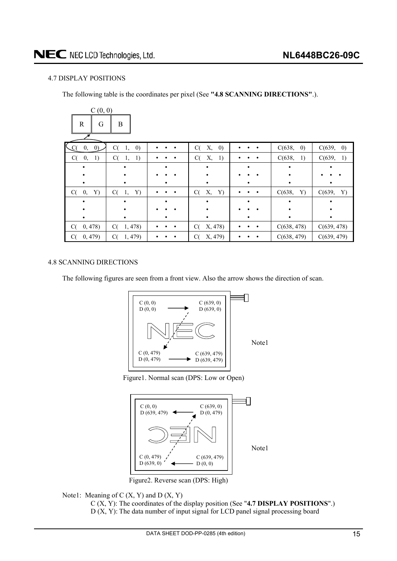#### <span id="page-14-0"></span>4.7 DISPLAY POSITIONS

The following table is the coordinates per pixel (See **"4.8 SCANNING DIRECTIONS"**.).

| C(0, 0)                 |                               |           |                               |                             |                             |
|-------------------------|-------------------------------|-----------|-------------------------------|-----------------------------|-----------------------------|
| $\mathbb{R}$<br>G       | B                             |           |                               |                             |                             |
| $\left( 0\right)$<br>0, | C(<br>$\left( 0\right)$<br>1, |           | Х,<br>$\left( 0\right)$<br>C( | $\left( 0\right)$<br>C(638, | C(639,<br>$\left( 0\right)$ |
| 1)<br>C(<br>0,          | C(<br><sup>1</sup><br>1,      |           | C(<br>Χ,<br>-1)               | C(638,<br>1)                | C(639, 1)                   |
|                         |                               |           |                               |                             |                             |
|                         |                               |           |                               |                             |                             |
|                         |                               |           |                               |                             |                             |
| C(<br>0,<br>Y)          | C(<br>Y)<br>1,                | $\bullet$ | C(<br>Х,<br>Y)                | C(638,<br>Y)                | C(639,<br>Y)                |
|                         |                               |           |                               |                             |                             |
|                         |                               |           |                               |                             |                             |
|                         |                               |           |                               |                             |                             |
| 0,478)<br>C(            | C(<br>1,478                   |           | X, 478)<br>C(                 | C(638, 478)                 | C(639, 478)                 |
| 0, 479)<br>C(           | C(<br>1, 479)                 |           | X, 479)<br>C(                 | C(638, 479)                 | C(639, 479)                 |

#### 4.8 SCANNING DIRECTIONS

The following figures are seen from a front view. Also the arrow shows the direction of scan.



Figure1. Normal scan (DPS: Low or Open)



Figure2. Reverse scan (DPS: High)

Note1: Meaning of  $C(X, Y)$  and  $D(X, Y)$ 

C (X, Y): The coordinates of the display position (See "**4.7 DISPLAY POSITIONS**".) D (X, Y): The data number of input signal for LCD panel signal processing board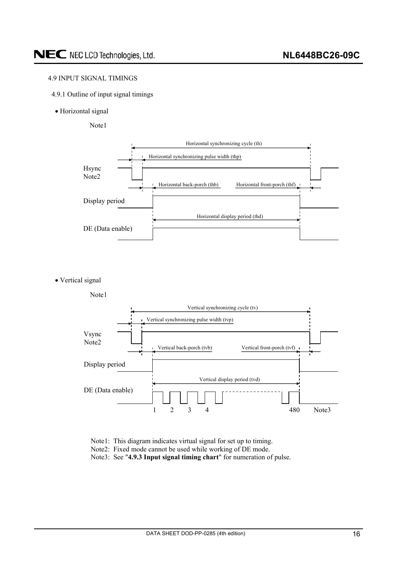#### <span id="page-15-0"></span>4.9 INPUT SIGNAL TIMINGS

- 4.9.1 Outline of input signal timings
- Horizontal signal

Note1



• Vertical signal



Note1: This diagram indicates virtual signal for set up to timing.

Note2: Fixed mode cannot be used while working of DE mode.

Note3: See "**4.9.3 Input signal timing chart**" for numeration of pulse.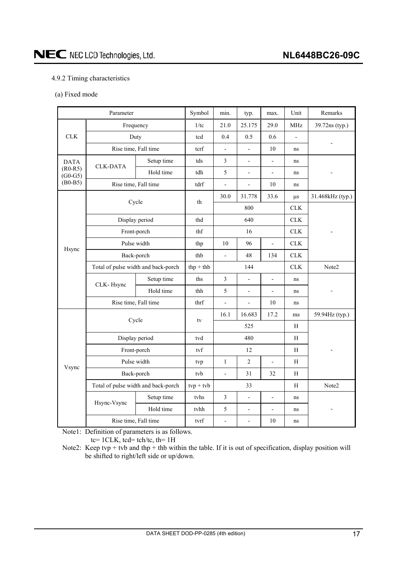#### <span id="page-16-0"></span>4.9.2 Timing characteristics

(a) Fixed mode

| Parameter              |                                     | Symbol         | min.        | typ.                     | max.                     | Unit                     | Remarks        |                          |  |
|------------------------|-------------------------------------|----------------|-------------|--------------------------|--------------------------|--------------------------|----------------|--------------------------|--|
|                        | Frequency                           |                | 1/tc        | 21.0                     | 25.175                   | 29.0                     | <b>MHz</b>     | 39.72ns (typ.)           |  |
| CLK                    | Duty                                |                | tcd         | 0.4                      | 0.5                      | 0.6                      | $\overline{a}$ |                          |  |
|                        | Rise time, Fall time                |                | tcrf        | $\overline{\phantom{a}}$ | $\overline{a}$           | 10                       | ns             |                          |  |
| <b>DATA</b>            | <b>CLK-DATA</b>                     | Setup time     | tds         | $\mathfrak{Z}$           | $\overline{\phantom{0}}$ | $\overline{\phantom{a}}$ | ns             |                          |  |
| $(R0-R5)$<br>$(G0-G5)$ |                                     | Hold time      | tdh         | 5                        | $\overline{\phantom{0}}$ | $\overline{\phantom{a}}$ | ns             |                          |  |
| $(B0-B5)$              | Rise time, Fall time                |                | tdrf        | $\blacksquare$           | L,                       | $10\,$                   | ns             |                          |  |
|                        |                                     |                | th          | 30.0                     | 31.778                   | 33.6                     | $\mu$ s        | 31.468kHz (typ.)         |  |
|                        | Cycle                               |                |             |                          | 800                      |                          |                |                          |  |
|                        |                                     | Display period | thd         | 640                      |                          |                          | CLK            |                          |  |
|                        | Front-porch                         |                | thf         | 16                       |                          |                          | CLK            |                          |  |
|                        | Pulse width                         |                | thp         | 10                       | 96                       | $\frac{1}{2}$            | ${\rm CLK}$    |                          |  |
| Hsync                  | Back-porch                          |                | thb         | $\overline{a}$           | 48                       | 134                      | CLK            |                          |  |
|                        | Total of pulse width and back-porch |                | $thp + thb$ | 144                      |                          | CLK                      | Note2          |                          |  |
|                        | CLK-Hsync                           | Setup time     | ths         | $\mathfrak{Z}$           | $\overline{a}$           | $\Box$                   | ns             |                          |  |
|                        |                                     | Hold time      | thh         | 5                        | $\overline{\phantom{0}}$ | $\blacksquare$           | ns             |                          |  |
|                        | Rise time, Fall time                |                | thrf        | $\overline{a}$           | $\overline{a}$           | 10                       | ns             |                          |  |
|                        | Cycle                               |                | tv          | 16.1                     | 16.683                   | 17.2                     | ms             | 59.94Hz (typ.)           |  |
|                        |                                     |                |             | 525                      |                          |                          | H              |                          |  |
|                        | Display period                      |                | tvd         | 480                      |                          |                          | $\mathbf H$    |                          |  |
| Vsync                  | Front-porch                         |                | tyf         | 12                       |                          | H                        |                |                          |  |
|                        | Pulse width                         |                | tvp         | $\mathbf{1}$             | $\overline{2}$           | $\overline{\phantom{a}}$ | $\mathbf H$    |                          |  |
|                        | Back-porch                          |                | tvb         | $\overline{\phantom{0}}$ | 31                       | 32                       | H              |                          |  |
|                        | Total of pulse width and back-porch |                | $typ + tvb$ |                          | 33                       |                          | H              | Note2                    |  |
|                        | Hsync-Vsync                         | Setup time     | tyhs        | $\mathfrak{Z}$           | $\overline{\phantom{0}}$ | $\frac{1}{2}$            | ns             |                          |  |
|                        |                                     | Hold time      | tvhh        | 5                        | $\overline{\phantom{0}}$ | $\overline{\phantom{a}}$ | ns             | $\overline{\phantom{a}}$ |  |
|                        | Rise time, Fall time                |                | tvrf        | $\frac{1}{2}$            | $\overline{a}$           | 10                       | ns             |                          |  |

Note1: Definition of parameters is as follows.

tc= 1CLK, tcd= tch/tc, th= 1H

Note2: Keep tvp + tvb and thp + thb within the table. If it is out of specification, display position will be shifted to right/left side or up/down.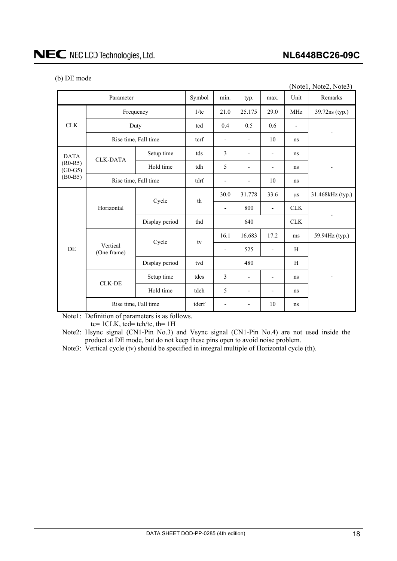#### **NL6448BC26-09C**

|  |  | (b) DE mode |
|--|--|-------------|
|--|--|-------------|

| (Notel, Note2, Note3)                              |                         |                |        |                          |                          |                          |            |                          |  |
|----------------------------------------------------|-------------------------|----------------|--------|--------------------------|--------------------------|--------------------------|------------|--------------------------|--|
| Parameter                                          |                         |                | Symbol | min.                     | typ.                     | max.                     | Unit       | Remarks                  |  |
| <b>CLK</b>                                         | Frequency               |                | 1/tc   | 21.0                     | 25.175                   | 29.0                     | <b>MHz</b> | 39.72ns (typ.)           |  |
|                                                    | Duty                    |                | tcd    | 0.4                      | 0.5                      | 0.6                      |            |                          |  |
|                                                    | Rise time, Fall time    |                | terf   | $\overline{\phantom{a}}$ | $\overline{\phantom{0}}$ | 10                       | ns         |                          |  |
| <b>DATA</b><br>$(R0-R5)$<br>$(G0-G5)$<br>$(B0-B5)$ |                         | Setup time     | tds    | 3                        |                          |                          | ns         |                          |  |
|                                                    | <b>CLK-DATA</b>         | Hold time      | tdh    | 5                        | -                        | -                        | ns         | $\overline{\phantom{a}}$ |  |
|                                                    | Rise time, Fall time    |                | tdrf   |                          |                          | 10                       | ns         |                          |  |
|                                                    | Horizontal              | Cycle          | th     | 30.0                     | 31.778                   | 33.6                     | $\mu s$    | 31.468kHz (typ.)         |  |
|                                                    |                         |                |        |                          | 800                      | $\overline{a}$           | <b>CLK</b> |                          |  |
|                                                    |                         | Display period | thd    |                          | 640                      |                          | <b>CLK</b> |                          |  |
|                                                    | Vertical<br>(One frame) | Cycle          | tv     | 16.1                     | 16.683                   | 17.2                     | ms         | 59.94Hz (typ.)           |  |
| DE                                                 |                         |                |        | $\overline{\phantom{a}}$ | 525                      | $\overline{\phantom{0}}$ | H          |                          |  |
|                                                    |                         | Display period | tvd    |                          | 480                      |                          | H          |                          |  |
|                                                    |                         | Setup time     | tdes   | 3                        | $\overline{\phantom{0}}$ | $\overline{\phantom{a}}$ | ns         | $\overline{\phantom{a}}$ |  |
|                                                    | <b>CLK-DE</b>           | Hold time      | tdeh   | 5                        |                          |                          | ns         |                          |  |
|                                                    | Rise time, Fall time    |                | tderf  | $\overline{\phantom{a}}$ | -                        | 10                       | ns         |                          |  |

Note1: Definition of parameters is as follows.

 $tc= 1CLK$ ,  $tcd= tch/tc$ ,  $th= 1H$ 

Note2: Hsync signal (CN1-Pin No.3) and Vsync signal (CN1-Pin No.4) are not used inside the product at DE mode, but do not keep these pins open to avoid noise problem.

Note3: Vertical cycle (tv) should be specified in integral multiple of Horizontal cycle (th).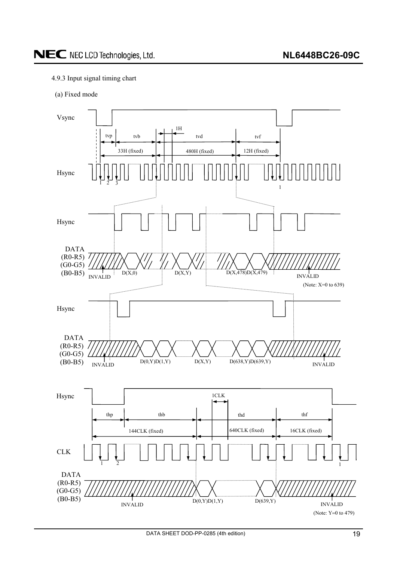#### <span id="page-18-0"></span>4.9.3 Input signal timing chart

(a) Fixed mode

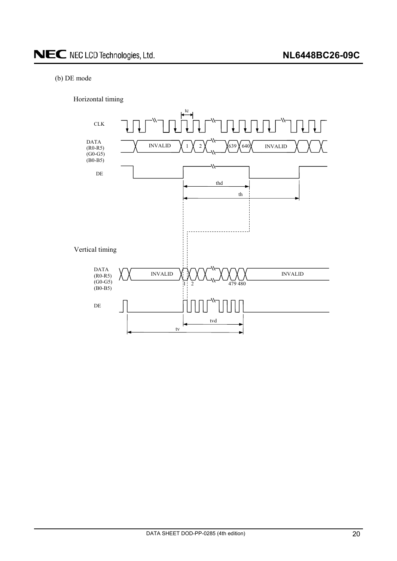#### (b) DE mode

Horizontal timing

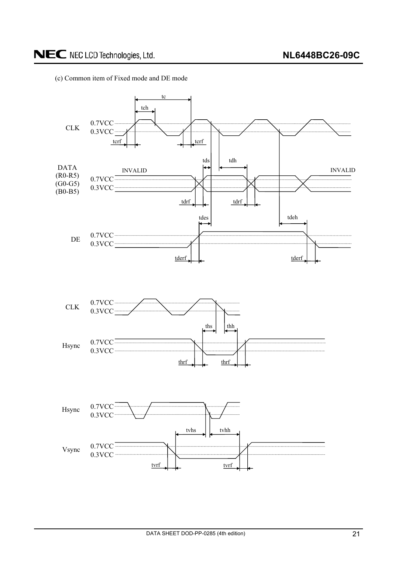

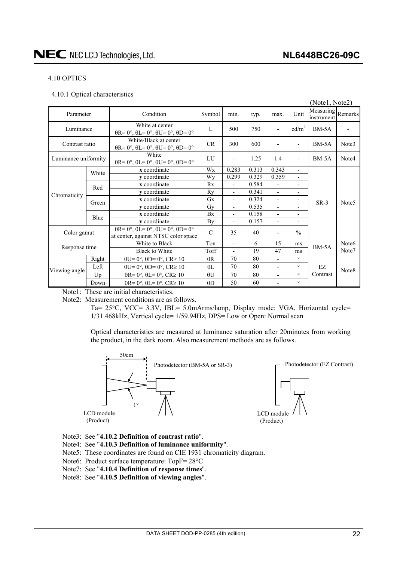#### <span id="page-21-0"></span>4.10 OPTICS

4.10.1 Optical characteristics

|                      |       |                                                                                                       |                                                           |                          |       |                          |                          | (Notel, Note2)                  |                   |
|----------------------|-------|-------------------------------------------------------------------------------------------------------|-----------------------------------------------------------|--------------------------|-------|--------------------------|--------------------------|---------------------------------|-------------------|
| Parameter            |       | Condition                                                                                             | Symbol                                                    | min.                     | typ.  | max.                     | Unit                     | Measuring Remarks<br>instrument |                   |
| Luminance            |       | White at center<br>$\theta$ R= 0°, $\theta$ L= 0°, $\theta$ U= 0°, $\theta$ D= 0°                     | $\mathbf{L}$                                              | 500                      | 750   |                          | cd/m <sup>2</sup>        | $BM-5A$                         |                   |
| Contrast ratio       |       | White/Black at center<br>$\theta$ R= 0°, $\theta$ L= 0°, $\theta$ U= 0°, $\theta$ D= 0°               | <b>CR</b>                                                 | 300                      | 600   |                          |                          | $BM-5A$                         | Note3             |
| Luminance uniformity |       | White<br>$\theta$ R= 0°, $\theta$ L= 0°, $\theta$ U= 0°, $\theta$ D= 0°                               | LI                                                        | $\overline{\phantom{a}}$ | 1.25  | 1.4                      | $\overline{\phantom{0}}$ | $BM-5A$                         | Note4             |
|                      | White | x coordinate                                                                                          | 0.283<br>0.313<br>0.343<br>Wx<br>$\overline{\phantom{a}}$ |                          |       |                          |                          |                                 |                   |
|                      |       | y coordinate                                                                                          | Wy                                                        | 0.299                    | 0.329 | 0.359                    | $\overline{\phantom{0}}$ | $SR-3$                          | Note <sub>5</sub> |
|                      | Red   | x coordinate                                                                                          | Rx                                                        | $\overline{\phantom{a}}$ | 0.584 | $\overline{a}$           | $\overline{\phantom{a}}$ |                                 |                   |
| Chromaticity         |       | y coordinate                                                                                          | Rv                                                        | $\overline{\phantom{a}}$ | 0.341 | $\overline{\phantom{0}}$ | $\overline{\phantom{0}}$ |                                 |                   |
|                      | Green | x coordinate                                                                                          | Gx                                                        | $\overline{\phantom{a}}$ | 0.324 | $\overline{\phantom{0}}$ |                          |                                 |                   |
|                      |       | v coordinate                                                                                          | Gv                                                        | $\overline{\phantom{a}}$ | 0.535 | $\overline{\phantom{0}}$ |                          |                                 |                   |
|                      | Blue  | x coordinate                                                                                          | Bx                                                        | $\overline{\phantom{a}}$ | 0.158 | $\overline{\phantom{0}}$ | $\overline{\phantom{0}}$ |                                 |                   |
|                      |       | y coordinate                                                                                          | By                                                        | $\overline{\phantom{a}}$ | 0.157 | $\overline{\phantom{a}}$ | $\overline{\phantom{0}}$ |                                 |                   |
| Color gamut          |       | $\theta$ R= 0°, $\theta$ L= 0°, $\theta$ U= 0°, $\theta$ D= 0°<br>at center, against NTSC color space | $\mathcal{C}$                                             | 35                       | 40    |                          | $\frac{0}{0}$            |                                 |                   |
| Response time        |       | White to Black                                                                                        | Ton                                                       | $\overline{\phantom{a}}$ | 6     | 15                       | ms                       | $BM-5A$                         | Note <sub>6</sub> |
|                      |       | <b>Black to White</b>                                                                                 | Toff                                                      |                          | 19    | 47                       | ms                       |                                 | Note7             |
| Viewing angle        | Right | $\theta U = 0^\circ$ , $\theta D = 0^\circ$ , $CR \ge 10$                                             | $\theta R$                                                | 70                       | 80    | $\overline{\phantom{0}}$ | $\circ$                  |                                 |                   |
|                      | Left  | $\theta U = 0^\circ$ , $\theta D = 0^\circ$ , $CR \ge 10$                                             | $\theta$ L                                                | 70                       | 80    | $\overline{\phantom{a}}$ | $\circ$                  | EZ.                             |                   |
|                      | Up    | $\theta$ R= 0°, $\theta$ L= 0°, CR≥ 10                                                                | $\theta$ U                                                | 70                       | 80    | $\overline{\phantom{0}}$ | $\circ$                  | Contrast                        | Note8             |
|                      | Down  | $\theta$ R= 0°, $\theta$ L= 0°, CR≥ 10                                                                | $\theta$ D                                                | 50                       | 60    | $\blacksquare$           | $\circ$                  |                                 |                   |

Note1: These are initial characteristics.

Note2: Measurement conditions are as follows.

Ta= 25°C, VCC= 3.3V, IBL= 5.0mArms/lamp, Display mode: VGA, Horizontal cycle= 1/31.468kHz, Vertical cycle= 1/59.94Hz, DPS= Low or Open: Normal scan

Optical characteristics are measured at luminance saturation after 20minutes from working the product, in the dark room. Also measurement methods are as follows.



- Note3: See "**4.10.2 Definition of contrast ratio**".
- Note4: See "**4.10.3 Definition of luminance uniformity**".
- Note5: These coordinates are found on CIE 1931 chromaticity diagram.
- Note6: Product surface temperature:  $TopF = 28°C$
- Note7: See "**4.10.4 Definition of response times**".
- Note8: See "**4.10.5 Definition of viewing angles**".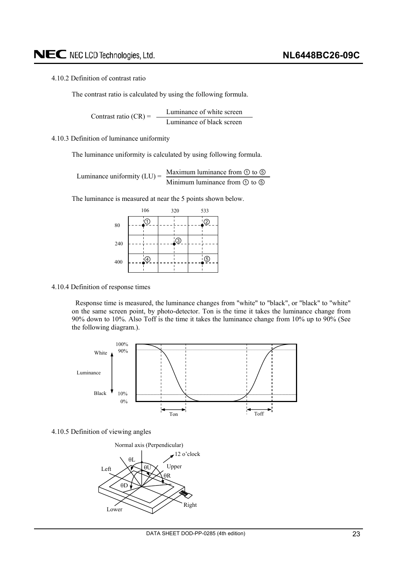#### <span id="page-22-0"></span>4.10.2 Definition of contrast ratio

The contrast ratio is calculated by using the following formula.

Luminance of white screen Luminance of black screen Contrast ratio  $(CR)$  =

#### 4.10.3 Definition of luminance uniformity

The luminance uniformity is calculated by using following formula.

Maximum luminance from  $\odot$  to  $\odot$ Minimum luminance from  $\odot$  to  $\odot$ Luminance uniformity  $(LU)$  =

The luminance is measured at near the 5 points shown below.

|     | 106 |               | 320 | 533 |    |  |
|-----|-----|---------------|-----|-----|----|--|
| 80  |     | 0             |     |     | '② |  |
|     |     |               |     |     |    |  |
| 240 |     |               | 'ු  |     |    |  |
| 400 |     | $\circled{4}$ |     |     | .© |  |
|     |     |               |     |     |    |  |

#### 4.10.4 Definition of response times

Response time is measured, the luminance changes from "white" to "black", or "black" to "white" on the same screen point, by photo-detector. Ton is the time it takes the luminance change from 90% down to 10%. Also Toff is the time it takes the luminance change from 10% up to 90% (See the following diagram.).



#### 4.10.5 Definition of viewing angles

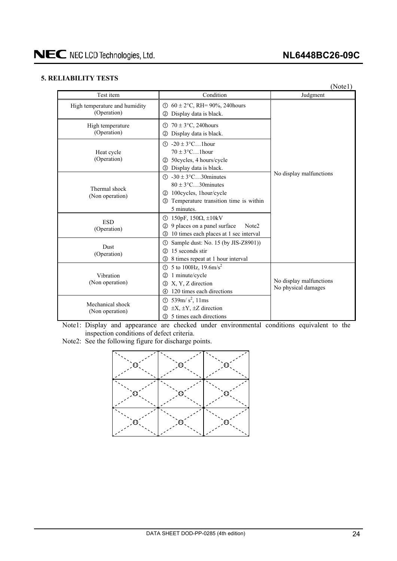### **NL6448BC26-09C**

#### <span id="page-23-0"></span>**5. RELIABILITY TESTS**

(Note1)

| Test item                                    | Condition                                                                                                                                                       | Judgment                                       |  |  |
|----------------------------------------------|-----------------------------------------------------------------------------------------------------------------------------------------------------------------|------------------------------------------------|--|--|
| High temperature and humidity<br>(Operation) | ① $60 \pm 2$ °C, RH= 90%, 240 hours<br>Display data is black.<br>(2)                                                                                            |                                                |  |  |
| High temperature<br>(Operation)              | $70 \pm 3$ °C, 240 hours<br>(T)<br>Display data is black.<br>(2)                                                                                                | No display malfunctions                        |  |  |
| Heat cycle<br>(Operation)                    | $\textcircled{1}$ -20 $\pm$ 3°C1 hour<br>$70 \pm 3$ °C1 hour<br>50 cycles, 4 hours/cycle<br>(2)<br>Display data is black.<br>$\circled{3}$                      |                                                |  |  |
| Thermal shock<br>(Non operation)             | $\textcircled{1}$ -30 ± 3°C30 minutes<br>$80 \pm 3$ °C30 minutes<br>100cycles, 1hour/cycle<br>(2)<br>Temperature transition time is within<br>(3)<br>5 minutes. |                                                |  |  |
| <b>ESD</b><br>(Operation)                    | 150pF, $150\Omega$ , $\pm 10kV$<br>①<br>9 places on a panel surface<br>Note <sub>2</sub><br>(2)<br>10 times each places at 1 sec interval<br>3                  |                                                |  |  |
| <b>Dust</b><br>(Operation)                   | Sample dust: No. 15 (by JIS-Z8901))<br>(T)<br>15 seconds stir<br>(2)<br>8 times repeat at 1 hour interval<br>(3)                                                |                                                |  |  |
| Vibration<br>(Non operation)                 | 5 to 100Hz, $19.6 \text{m/s}^2$<br>(T)<br>1 minute/cycle<br>(2)<br>X, Y, Z direction<br>3<br>120 times each directions<br>4                                     | No display malfunctions<br>No physical damages |  |  |
| Mechanical shock<br>(Non operation)          | ① 539m/ $s^2$ , 11ms<br>$\pm X$ , $\pm Y$ , $\pm Z$ direction<br>(2)<br>5 times each directions<br>③                                                            |                                                |  |  |

Note1: Display and appearance are checked under environmental conditions equivalent to the inspection conditions of defect criteria.

Note2: See the following figure for discharge points.

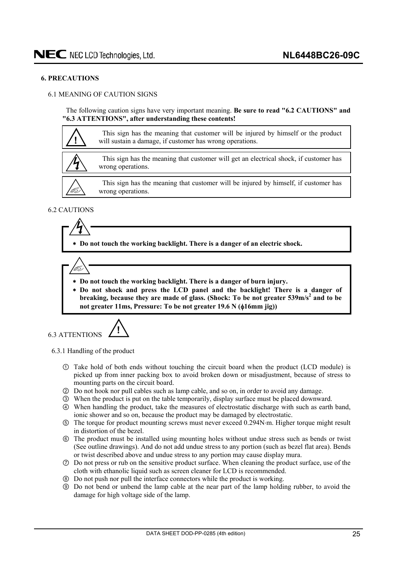#### <span id="page-24-0"></span>**6. PRECAUTIONS**

#### 6.1 MEANING OF CAUTION SIGNS

The following caution signs have very important meaning. **Be sure to read "6.2 CAUTIONS" and "6.3 ATTENTIONS", after understanding these contents!** 



#### 6.2 CAUTIONS

(T

 **Do not touch the working backlight. There is a danger of an electric shock.** 

- **Do not touch the working backlight. There is a danger of burn injury.**
- **Do not shock and press the LCD panel and the backlight! There is a danger of**  breaking, because they are made of glass. (Shock: To be not greater 539m/s<sup>2</sup> and to be not greater 11ms, Pressure: To be not greater 19.6 N ( $\phi$ 16mm jig))

6.3 ATTENTIONS **!**

6.3.1 Handling of the product

- Take hold of both ends without touching the circuit board when the product (LCD module) is picked up from inner packing box to avoid broken down or misadjustment, because of stress to mounting parts on the circuit board.
- ཱ Do not hook nor pull cables such as lamp cable, and so on, in order to avoid any damage.
- ི When the product is put on the table temporarily, display surface must be placed downward.
- ཱི When handling the product, take the measures of electrostatic discharge with such as earth band, ionic shower and so on, because the product may be damaged by electrostatic.
- ུ The torque for product mounting screws must never exceed 0.294Nm. Higher torque might result in distortion of the bezel.
- ཱུ The product must be installed using mounting holes without undue stress such as bends or twist (See outline drawings). And do not add undue stress to any portion (such as bezel flat area). Bends or twist described above and undue stress to any portion may cause display mura.
- ྲྀ Do not press or rub on the sensitive product surface. When cleaning the product surface, use of the cloth with ethanolic liquid such as screen cleaner for LCD is recommended.
- ཷ Do not push nor pull the interface connectors while the product is working.
- ླྀ Do not bend or unbend the lamp cable at the near part of the lamp holding rubber, to avoid the damage for high voltage side of the lamp.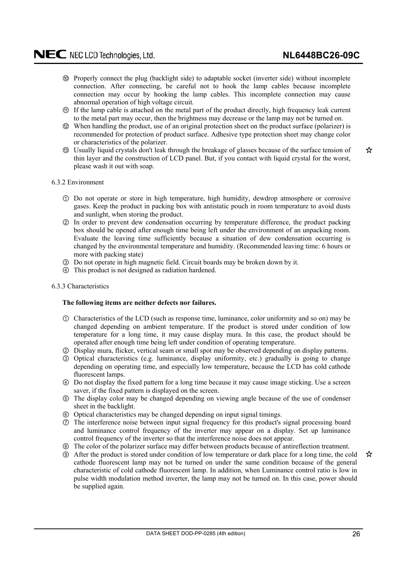- <span id="page-25-0"></span>ཹ Properly connect the plug (backlight side) to adaptable socket (inverter side) without incomplete connection. After connecting, be careful not to hook the lamp cables because incomplete connection may occur by hooking the lamp cables. This incomplete connection may cause abnormal operation of high voltage circuit.
- ེ If the lamp cable is attached on the metal part of the product directly, high frequency leak current to the metal part may occur, then the brightness may decrease or the lamp may not be turned on.
- ཻ When handling the product, use of an original protection sheet on the product surface (polarizer) is recommended for protection of product surface. Adhesive type protection sheet may change color or characteristics of the polarizer.
- ོ Usually liquid crystals don't leak through the breakage of glasses because of the surface tension of thin layer and the construction of LCD panel. But, if you contact with liquid crystal for the worst, please wash it out with soap.

☆

#### 6.3.2 Environment

- Do not operate or store in high temperature, high humidity, dewdrop atmosphere or corrosive gases. Keep the product in packing box with antistatic pouch in room temperature to avoid dusts and sunlight, when storing the product.
- ཱ In order to prevent dew condensation occurring by temperature difference, the product packing box should be opened after enough time being left under the environment of an unpacking room. Evaluate the leaving time sufficiently because a situation of dew condensation occurring is changed by the environmental temperature and humidity. (Recommended leaving time: 6 hours or more with packing state)
- ི Do not operate in high magnetic field. Circuit boards may be broken down by it.
- ཱི This product is not designed as radiation hardened.

#### 6.3.3 Characteristics

#### **The following items are neither defects nor failures.**

- Characteristics of the LCD (such as response time, luminance, color uniformity and so on) may be changed depending on ambient temperature. If the product is stored under condition of low temperature for a long time, it may cause display mura. In this case, the product should be operated after enough time being left under condition of operating temperature.
- ཱ Display mura, flicker, vertical seam or small spot may be observed depending on display patterns.
- ི Optical characteristics (e.g. luminance, display uniformity, etc.) gradually is going to change depending on operating time, and especially low temperature, because the LCD has cold cathode fluorescent lamps.
- ཱི Do not display the fixed pattern for a long time because it may cause image sticking. Use a screen saver, if the fixed pattern is displayed on the screen.
- ུ The display color may be changed depending on viewing angle because of the use of condenser sheet in the backlight.
- ཱུ Optical characteristics may be changed depending on input signal timings.
- ྲྀ The interference noise between input signal frequency for this product's signal processing board and luminance control frequency of the inverter may appear on a display. Set up luminance control frequency of the inverter so that the interference noise does not appear.
- ཷ The color of the polarizer surface may differ between products because of antireflection treatment.
- ླྀ After the product is stored under condition of low temperature or dark place for a long time, the cold cathode fluorescent lamp may not be turned on under the same condition because of the general characteristic of cold cathode fluorescent lamp. In addition, when Luminance control ratio is low in pulse width modulation method inverter, the lamp may not be turned on. In this case, power should be supplied again.

☆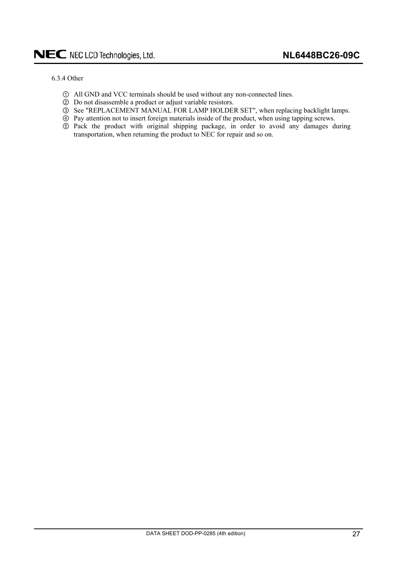#### <span id="page-26-0"></span>6.3.4 Other

- All GND and VCC terminals should be used without any non-connected lines.
- ཱ Do not disassemble a product or adjust variable resistors.
- ི See "REPLACEMENT MANUAL FOR LAMP HOLDER SET", when replacing backlight lamps.
- ཱི Pay attention not to insert foreign materials inside of the product, when using tapping screws.
- ུ Pack the product with original shipping package, in order to avoid any damages during transportation, when returning the product to NEC for repair and so on.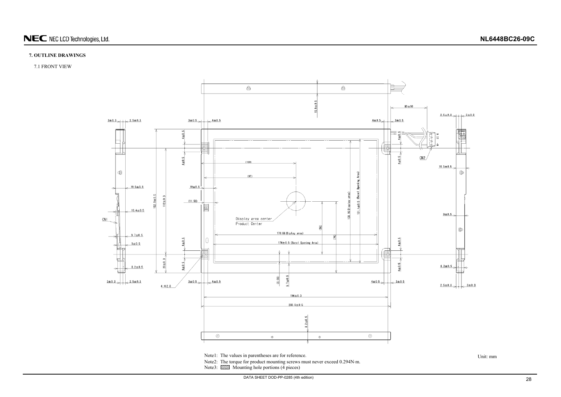

#### **7. OUTLINE DRAWINGS**

7.1 FRONT VIEW



Note1: The values in parentheses are for reference.<br>Unit: mm

<span id="page-27-0"></span>Note2: The torque for product mounting screws must never exceed 0.294N·m. Note3:  $\overline{\mathbb{Z}}$  Mounting hole portions (4 pieces)